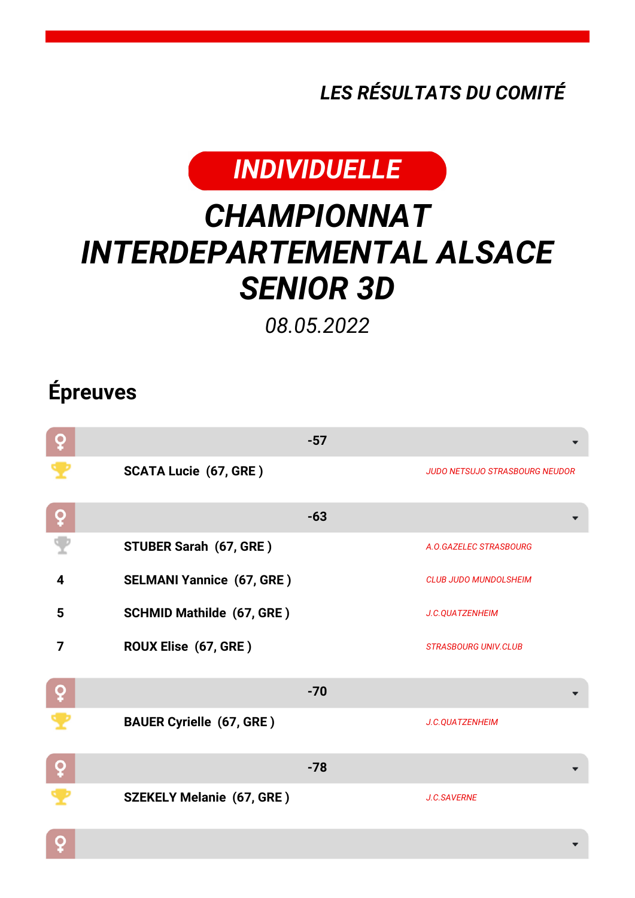*LES RÉSULTATS DU COMITÉ*



## *CHAMPIONNAT INTERDEPARTEMENTAL ALSACE SENIOR 3D*

*08.05.2022*

## **Épreuves**

| ò |                                  | $-57$ |                                       |
|---|----------------------------------|-------|---------------------------------------|
|   | <b>SCATA Lucie (67, GRE)</b>     |       | <b>JUDO NETSUJO STRASBOURG NEUDOR</b> |
| ò |                                  | $-63$ |                                       |
|   | STUBER Sarah (67, GRE)           |       | A.O.GAZELEC STRASBOURG                |
| 4 | <b>SELMANI Yannice (67, GRE)</b> |       | <b>CLUB JUDO MUNDOLSHEIM</b>          |
| 5 | <b>SCHMID Mathilde (67, GRE)</b> |       | J.C.QUATZENHEIM                       |
| 7 | ROUX Elise (67, GRE)             |       | <b>STRASBOURG UNIV.CLUB</b>           |
| Q |                                  | $-70$ |                                       |
|   | <b>BAUER Cyrielle (67, GRE)</b>  |       | J.C.QUATZENHEIM                       |
| Q |                                  | $-78$ |                                       |
|   | <b>SZEKELY Melanie (67, GRE)</b> |       | <b>J.C.SAVERNE</b>                    |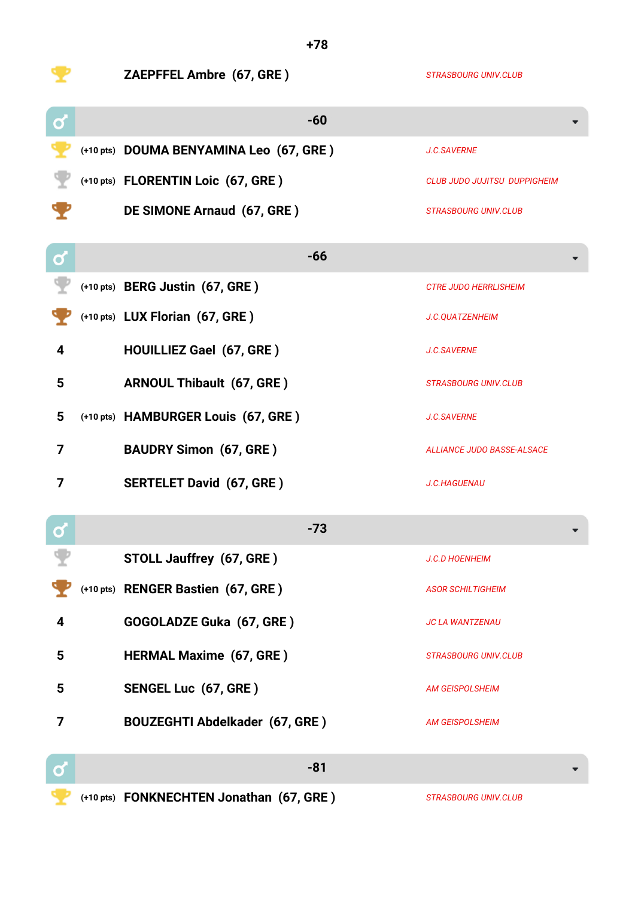|                 | ZAEPFFEL Ambre (67, GRE)                 | <b>STRASBOURG UNIV.CLUB</b>         |
|-----------------|------------------------------------------|-------------------------------------|
| $\mathbf{Q}$    | $-60$                                    |                                     |
|                 | (+10 pts) DOUMA BENYAMINA Leo (67, GRE)  | J.C.SAVERNE                         |
|                 | (+10 pts) FLORENTIN Loic (67, GRE)       | <b>CLUB JUDO JUJITSU DUPPIGHEIM</b> |
|                 | DE SIMONE Arnaud (67, GRE)               | <b>STRASBOURG UNIV.CLUB</b>         |
| σ               | $-66$                                    |                                     |
|                 | (+10 pts) BERG Justin (67, GRE)          | <b>CTRE JUDO HERRLISHEIM</b>        |
|                 | (+10 pts) LUX Florian (67, GRE)          | J.C.QUATZENHEIM                     |
| 4               | <b>HOUILLIEZ Gael (67, GRE)</b>          | J.C.SAVERNE                         |
| 5               | <b>ARNOUL Thibault (67, GRE)</b>         | <b>STRASBOURG UNIV.CLUB</b>         |
| $5\phantom{.0}$ | (+10 pts) HAMBURGER Louis (67, GRE)      | J.C.SAVERNE                         |
| 7               | <b>BAUDRY Simon (67, GRE)</b>            | <b>ALLIANCE JUDO BASSE-ALSACE</b>   |
| 7               | <b>SERTELET David (67, GRE)</b>          | <b>J.C.HAGUENAU</b>                 |
| σ               | $-73$                                    |                                     |
|                 | STOLL Jauffrey (67, GRE)                 | <b>J.C.D HOENHEIM</b>               |
|                 | (+10 pts) RENGER Bastien (67, GRE)       | <b>ASOR SCHILTIGHEIM</b>            |
| 4               | GOGOLADZE Guka (67, GRE)                 | <b>JC LA WANTZENAU</b>              |
| 5               | <b>HERMAL Maxime (67, GRE)</b>           | <b>STRASBOURG UNIV.CLUB</b>         |
| 5               | <b>SENGEL Luc (67, GRE)</b>              | <b>AM GEISPOLSHEIM</b>              |
| 7               | <b>BOUZEGHTI Abdelkader (67, GRE)</b>    | <b>AM GEISPOLSHEIM</b>              |
| Ø               | $-81$                                    |                                     |
|                 | (+10 pts) FONKNECHTEN Jonathan (67, GRE) | <b>STRASBOURG UNIV.CLUB</b>         |

**+78**